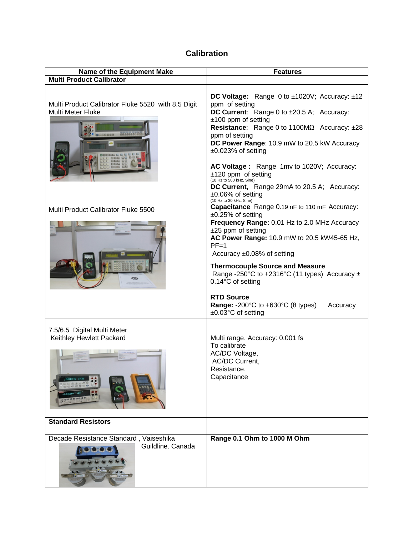# **Calibration**

| <b>Name of the Equipment Make</b>                                                         | <b>Features</b>                                                                                                                                                                                                                                                                                                                                                                                                                        |
|-------------------------------------------------------------------------------------------|----------------------------------------------------------------------------------------------------------------------------------------------------------------------------------------------------------------------------------------------------------------------------------------------------------------------------------------------------------------------------------------------------------------------------------------|
| <b>Multi Product Calibrator</b>                                                           |                                                                                                                                                                                                                                                                                                                                                                                                                                        |
| Multi Product Calibrator Fluke 5520 with 8.5 Digit<br><b>Multi Meter Fluke</b><br>8886866 | DC Voltage: Range 0 to ±1020V; Accuracy: ±12<br>ppm of setting<br>DC Current: Range 0 to ±20.5 A; Accuracy:<br>$±100$ ppm of setting<br>Resistance: Range 0 to 1100MΩ Accuracy: ±28<br>ppm of setting<br>DC Power Range: 10.9 mW to 20.5 kW Accuracy<br>$±0.023%$ of setting<br>AC Voltage: Range 1mv to 1020V; Accuracy:<br>$±120$ ppm of setting<br>(10 Hz to 500 kHz, Sine)<br>DC Current, Range 29mA to 20.5 A; Accuracy:          |
| Multi Product Calibrator Fluke 5500<br>43534                                              | $±0.06\%$ of setting<br>(10 Hz to 30 kHz, Sine)<br>Capacitance Range 0.19 nF to 110 mF Accuracy:<br>$±0.25\%$ of setting<br>Frequency Range: 0.01 Hz to 2.0 MHz Accuracy<br>$±25$ ppm of setting<br>AC Power Range: 10.9 mW to 20.5 kW45-65 Hz,<br>$PF=1$<br>Accuracy $\pm 0.08\%$ of setting<br><b>Thermocouple Source and Measure</b><br>Range -250°C to +2316°C (11 types) Accuracy $\pm$<br>0.14°C of setting<br><b>RTD Source</b> |
|                                                                                           | Range: -200°C to +630°C (8 types)<br>Accuracy<br>±0.03°C of setting                                                                                                                                                                                                                                                                                                                                                                    |
| 7.5/6.5 Digital Multi Meter<br>Keithley Hewlett Packard                                   | Multi range, Accuracy: 0.001 fs<br>To calibrate<br>AC/DC Voltage,<br><b>AC/DC Current,</b><br>Resistance<br>Capacitance                                                                                                                                                                                                                                                                                                                |
| <b>Standard Resistors</b>                                                                 |                                                                                                                                                                                                                                                                                                                                                                                                                                        |
| Decade Resistance Standard, Vaiseshika<br>Guildline, Canada                               | Range 0.1 Ohm to 1000 M Ohm                                                                                                                                                                                                                                                                                                                                                                                                            |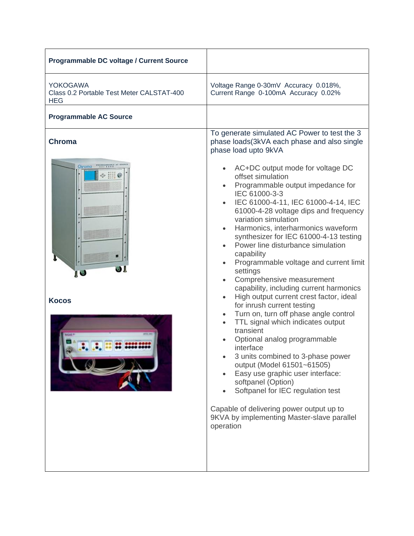| <b>Programmable DC voltage / Current Source</b>                            |                                                                                                                                                                                                                                                                                                                                                                                                                                                                                                                                                                                                                                                                                                                                                                                                                                                                                                                                                                                                                                       |
|----------------------------------------------------------------------------|---------------------------------------------------------------------------------------------------------------------------------------------------------------------------------------------------------------------------------------------------------------------------------------------------------------------------------------------------------------------------------------------------------------------------------------------------------------------------------------------------------------------------------------------------------------------------------------------------------------------------------------------------------------------------------------------------------------------------------------------------------------------------------------------------------------------------------------------------------------------------------------------------------------------------------------------------------------------------------------------------------------------------------------|
| <b>YOKOGAWA</b><br>Class 0.2 Portable Test Meter CALSTAT-400<br><b>HEG</b> | Voltage Range 0-30mV Accuracy 0.018%,<br>Current Range 0-100mA Accuracy 0.02%                                                                                                                                                                                                                                                                                                                                                                                                                                                                                                                                                                                                                                                                                                                                                                                                                                                                                                                                                         |
| <b>Programmable AC Source</b>                                              |                                                                                                                                                                                                                                                                                                                                                                                                                                                                                                                                                                                                                                                                                                                                                                                                                                                                                                                                                                                                                                       |
| <b>Chroma</b><br>Chroma<br>JІ<br>IJ<br><b>Kocos</b>                        | To generate simulated AC Power to test the 3<br>phase loads(3kVA each phase and also single<br>phase load upto 9kVA<br>AC+DC output mode for voltage DC<br>offset simulation<br>Programmable output impedance for<br>IEC 61000-3-3<br>IEC 61000-4-11, IEC 61000-4-14, IEC<br>$\bullet$<br>61000-4-28 voltage dips and frequency<br>variation simulation<br>Harmonics, interharmonics waveform<br>synthesizer for IEC 61000-4-13 testing<br>Power line disturbance simulation<br>capability<br>Programmable voltage and current limit<br>settings<br>Comprehensive measurement<br>$\bullet$<br>capability, including current harmonics<br>High output current crest factor, ideal<br>$\bullet$<br>for inrush current testing<br>Turn on, turn off phase angle control<br>TTL signal which indicates output<br>transient<br>Optional analog programmable<br>interface<br>3 units combined to 3-phase power<br>output (Model 61501~61505)<br>Easy use graphic user interface:<br>softpanel (Option)<br>Softpanel for IEC regulation test |
|                                                                            | Capable of delivering power output up to<br>9KVA by implementing Master-slave parallel<br>operation                                                                                                                                                                                                                                                                                                                                                                                                                                                                                                                                                                                                                                                                                                                                                                                                                                                                                                                                   |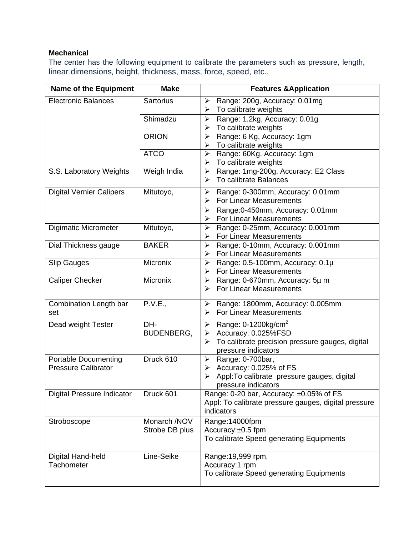## **Mechanical**

The center has the following equipment to calibrate the parameters such as pressure, length, linear dimensions, height, thickness, mass, force, speed, etc.,

| <b>Name of the Equipment</b>                              | <b>Make</b>                    | <b>Features &amp; Application</b>                                                                                                                                      |
|-----------------------------------------------------------|--------------------------------|------------------------------------------------------------------------------------------------------------------------------------------------------------------------|
| <b>Electronic Balances</b>                                | <b>Sartorius</b>               | Range: 200g, Accuracy: 0.01mg<br>➤<br>To calibrate weights<br>➤                                                                                                        |
|                                                           | Shimadzu                       | Range: 1.2kg, Accuracy: 0.01g<br>➤<br>To calibrate weights<br>➤                                                                                                        |
|                                                           | <b>ORION</b>                   | Range: 6 Kg, Accuracy: 1gm<br>➤<br>To calibrate weights<br>➤                                                                                                           |
|                                                           | <b>ATCO</b>                    | Range: 60Kg, Accuracy: 1gm<br>≻<br>To calibrate weights<br>➤                                                                                                           |
| S.S. Laboratory Weights                                   | Weigh India                    | Range: 1mg-200g, Accuracy: E2 Class<br>$\blacktriangleright$<br>To calibrate Balances<br>➤                                                                             |
| <b>Digital Vernier Calipers</b>                           | Mitutoyo,                      | $\blacktriangleright$<br>Range: 0-300mm, Accuracy: 0.01mm<br><b>For Linear Measurements</b><br>➤                                                                       |
|                                                           |                                | Range: 0-450mm, Accuracy: 0.01mm<br>➤<br><b>For Linear Measurements</b><br>≻                                                                                           |
| <b>Digimatic Micrometer</b>                               | Mitutoyo,                      | Range: 0-25mm, Accuracy: 0.001mm<br>➤<br><b>For Linear Measurements</b><br>➤                                                                                           |
| Dial Thickness gauge                                      | <b>BAKER</b>                   | Range: 0-10mm, Accuracy: 0.001mm<br>➤<br>For Linear Measurements<br>➤                                                                                                  |
| <b>Slip Gauges</b>                                        | <b>Micronix</b>                | Range: 0.5-100mm, Accuracy: 0.1µ<br>➤<br>For Linear Measurements<br>➤                                                                                                  |
| <b>Caliper Checker</b>                                    | <b>Micronix</b>                | Range: 0-670mm, Accuracy: 5µ m<br>➤<br><b>For Linear Measurements</b><br>➤                                                                                             |
| Combination Length bar<br>set                             | P.V.E.,                        | Range: 1800mm, Accuracy: 0.005mm<br>➤<br><b>For Linear Measurements</b><br>≻                                                                                           |
| Dead weight Tester                                        | DH-<br>BUDENBERG,              | Range: $0-1200$ kg/cm <sup>2</sup><br>$\blacktriangleright$<br>Accuracy: 0.025%FSD<br>➤<br>To calibrate precision pressure gauges, digital<br>➤<br>pressure indicators |
| <b>Portable Documenting</b><br><b>Pressure Calibrator</b> | Druck 610                      | Range: 0-700bar,<br>➤<br>Accuracy: 0.025% of FS<br>➤<br>Appl: To calibrate pressure gauges, digital<br>➤<br>pressure indicators                                        |
| <b>Digital Pressure Indicator</b>                         | Druck 601                      | Range: 0-20 bar, Accuracy: ±0.05% of FS<br>Appl: To calibrate pressure gauges, digital pressure<br>indicators                                                          |
| Stroboscope                                               | Monarch /NOV<br>Strobe DB plus | Range:14000fpm<br>Accuracy:±0.5 fpm<br>To calibrate Speed generating Equipments                                                                                        |
| Digital Hand-held<br>Tachometer                           | Line-Seike                     | Range: 19,999 rpm,<br>Accuracy:1 rpm<br>To calibrate Speed generating Equipments                                                                                       |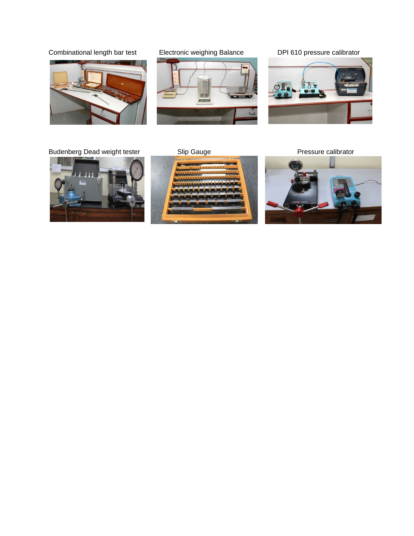Combinational length bar test Electronic weighing Balance DPI 610 pressure calibrator